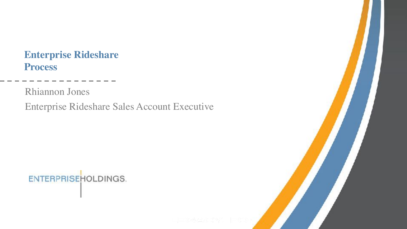#### **Enterprise Rideshare Process**

Rhiannon Jones

Enterprise Rideshare Sales Account Executive

#### **ENTERPRISEHOLDINGS.**

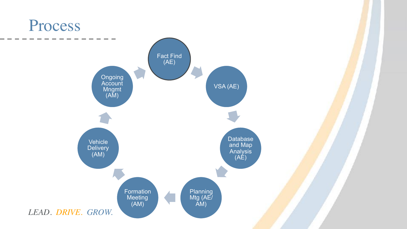#### Process

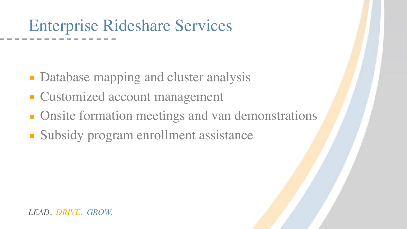### Enterprise Rideshare Services

- **Database mapping and cluster analysis**
- Customized account management
- **Onsite formation meetings and van demonstrations**
- Subsidy program enrollment assistance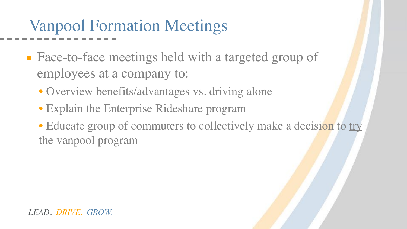# Vanpool Formation Meetings

- Face-to-face meetings held with a targeted group of employees at a company to:
	- Overview benefits/advantages vs. driving alone
	- Explain the Enterprise Rideshare program
	- Educate group of commuters to collectively make a decision to try the vanpool program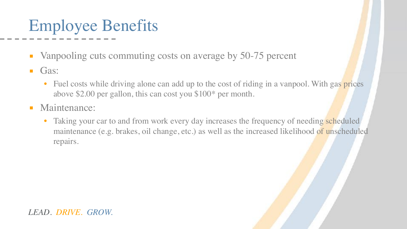# Employee Benefits

- Vanpooling cuts commuting costs on average by 50-75 percent
- **•** Gas:
	- Fuel costs while driving alone can add up to the cost of riding in a vanpool. With gas prices above \$2.00 per gallon, this can cost you \$100\* per month.
- **■** Maintenance:
	- Taking your car to and from work every day increases the frequency of needing scheduled maintenance (e.g. brakes, oil change, etc.) as well as the increased likelihood of unscheduled repairs.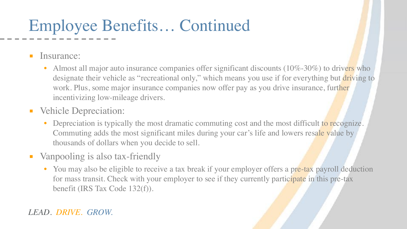### Employee Benefits… Continued

**<u>■ Insurance:</u>** 

- Almost all major auto insurance companies offer significant discounts  $(10\% 30\%)$  to drivers who designate their vehicle as "recreational only," which means you use if for everything but driving to work. Plus, some major insurance companies now offer pay as you drive insurance, further incentivizing low-mileage drivers.
- Vehicle Depreciation:
	- Depreciation is typically the most dramatic commuting cost and the most difficult to recognize. Commuting adds the most significant miles during your car's life and lowers resale value by thousands of dollars when you decide to sell.
- Vanpooling is also tax-friendly
	- You may also be eligible to receive a tax break if your employer offers a pre-tax payroll deduction for mass transit. Check with your employer to see if they currently participate in this pre-tax benefit (IRS Tax Code 132(f)).

*LEAD. DRIVE. GROW.*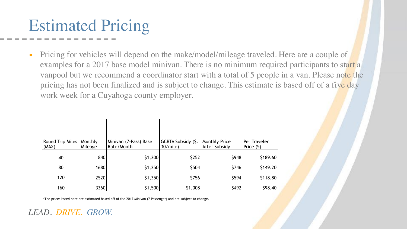### Estimated Pricing

**•** Pricing for vehicles will depend on the make/model/mileage traveled. Here are a couple of examples for a 2017 base model minivan. There is no minimum required participants to start a vanpool but we recommend a coordinator start with a total of 5 people in a van. Please note the pricing has not been finalized and is subject to change. This estimate is based off of a five day work week for a Cuyahoga county employer.

| Round Trip Miles<br>(MAX) | Monthly<br>Mileage | Minivan (7-Pass) Base<br>Rate/Month | GCRTA Subsidy (\$.<br>$30/mile$ ) | <b>Monthly Price</b><br>After Subsidy | Per Traveler<br>Price (5) |
|---------------------------|--------------------|-------------------------------------|-----------------------------------|---------------------------------------|---------------------------|
| 40                        | 840                | \$1,200                             | \$252                             | \$948                                 | \$189.60                  |
| 80                        | 1680               | \$1,250                             | \$504                             | \$746                                 | \$149.20                  |
| 120                       | 2520               | \$1,350                             | \$756                             | \$594                                 | \$118.80                  |
| 160                       | 3360               | \$1,500                             | \$1,008                           | \$492                                 | \$98.40                   |

\*The prices listed here are estimated based off of the 2017 Minivan (7 Passenger) and are subject to change.

*LEAD. DRIVE. GROW.*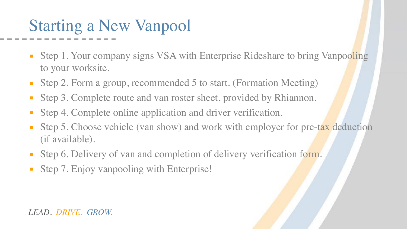### Starting a New Vanpool

- **Step 1. Your company signs VSA with Enterprise Rideshare to bring Vanpooling** to your worksite.
- Step 2. Form a group, recommended 5 to start. (Formation Meeting)
- Step 3. Complete route and van roster sheet, provided by Rhiannon.
- Step 4. Complete online application and driver verification.
- **•** Step 5. Choose vehicle (van show) and work with employer for pre-tax deduction (if available).
- Step 6. Delivery of van and completion of delivery verification form.
- Step 7. Enjoy vanpooling with Enterprise!